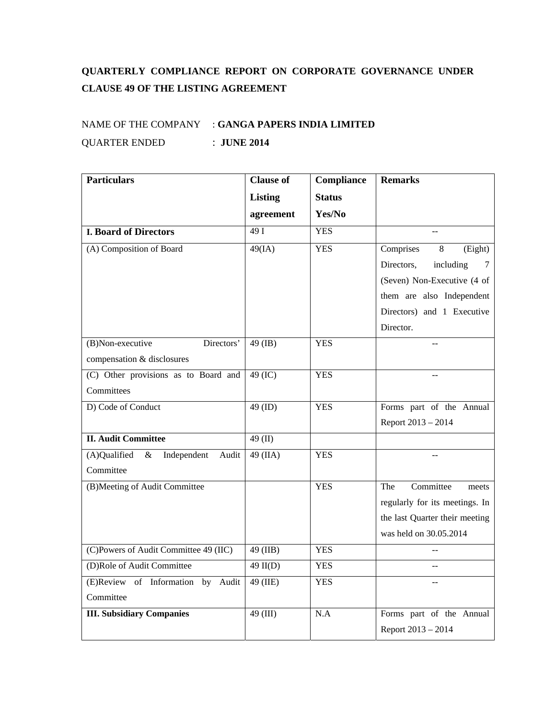## **QUARTERLY COMPLIANCE REPORT ON CORPORATE GOVERNANCE UNDER CLAUSE 49 OF THE LISTING AGREEMENT**

## NAME OF THE COMPANY : **GANGA PAPERS INDIA LIMITED** QUARTER ENDED : **JUNE 2014**

| <b>Particulars</b>                           | <b>Clause of</b> | Compliance    | <b>Remarks</b>                    |
|----------------------------------------------|------------------|---------------|-----------------------------------|
|                                              | <b>Listing</b>   | <b>Status</b> |                                   |
|                                              | agreement        | Yes/No        |                                   |
| <b>I. Board of Directors</b>                 | 49I              | <b>YES</b>    |                                   |
| (A) Composition of Board                     | 49(IA)           | <b>YES</b>    | Comprises<br>8<br>(Eight)         |
|                                              |                  |               | Directors,<br>including<br>$\tau$ |
|                                              |                  |               | (Seven) Non-Executive (4 of       |
|                                              |                  |               | them are also Independent         |
|                                              |                  |               | Directors) and 1 Executive        |
|                                              |                  |               | Director.                         |
| Directors'<br>(B)Non-executive               | 49 (IB)          | <b>YES</b>    |                                   |
| compensation & disclosures                   |                  |               |                                   |
| (C) Other provisions as to Board and         | 49 (IC)          | <b>YES</b>    |                                   |
| Committees                                   |                  |               |                                   |
| D) Code of Conduct                           | 49 (ID)          | <b>YES</b>    | Forms part of the Annual          |
|                                              |                  |               | Report 2013 - 2014                |
| <b>II. Audit Committee</b>                   | 49 $(II)$        |               |                                   |
| (A)Qualified<br>Independent<br>$\&$<br>Audit | 49 (IIA)         | <b>YES</b>    |                                   |
| Committee                                    |                  |               |                                   |
| (B)Meeting of Audit Committee                |                  | <b>YES</b>    | Committee<br>The<br>meets         |
|                                              |                  |               | regularly for its meetings. In    |
|                                              |                  |               | the last Quarter their meeting    |
|                                              |                  |               | was held on 30.05.2014            |
| (C)Powers of Audit Committee 49 (IIC)        | 49 (IIB)         | <b>YES</b>    |                                   |
| (D)Role of Audit Committee                   | $49$ II(D)       | <b>YES</b>    | --                                |
| (E)Review of Information by<br>Audit         | 49 (IIE)         | <b>YES</b>    |                                   |
| Committee                                    |                  |               |                                   |
| <b>III. Subsidiary Companies</b>             | 49 (III)         | N.A           | Forms part of the Annual          |
|                                              |                  |               | Report 2013 - 2014                |